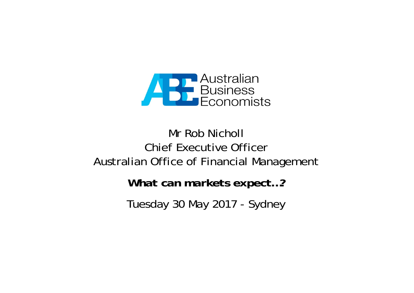

# Mr Rob Nicholl Chief Executive OfficerAustralian Office of Financial Management

*What can markets expect…?*

Tuesday 30 May 2017 - Sydney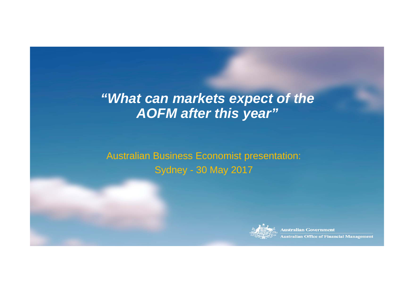# *"What can markets expect of the AOFM after this year"*

Australian Business Economist presentation: Sydney - 30 May 2017



**Australian Government Australian Office of Financial Management**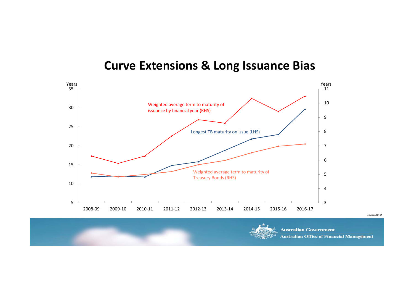#### **Curve Extensions & Long Issuance Bias**





**Australian Government** 

**Australian Office of Financial Management**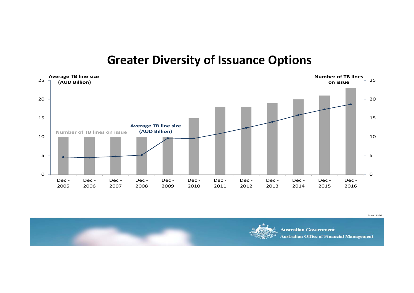#### **Greater Diversity of Issuance Options**



**Australian Government Australian Office of Financial Management**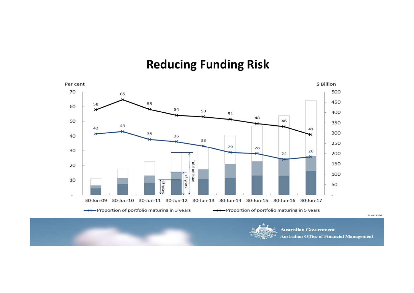# **Reducing Funding Risk**



**Australian Office of Financial Management**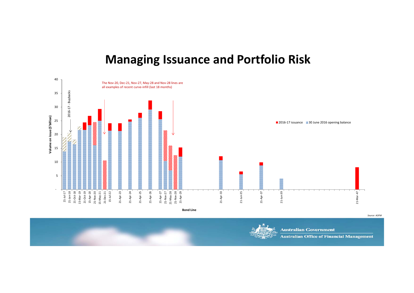### **Managing Issuance and Portfolio Risk**

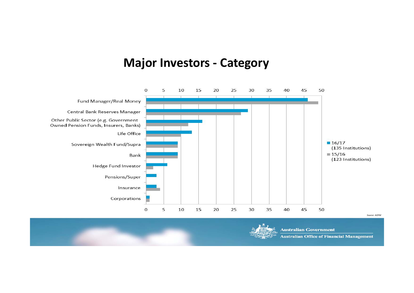### **Major Investors ‐ Category**



**Australian Office of Financial Management**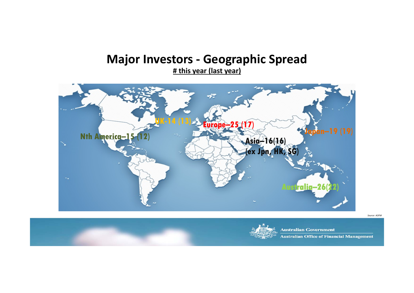### **Major Investors ‐ Geographic Spread**

**# this year (last year)**



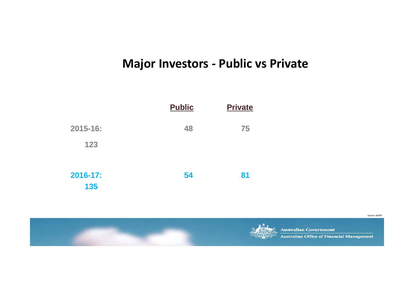# **Major Investors ‐ Public vs Private**



**Australian Government Australian Office of Financial Management**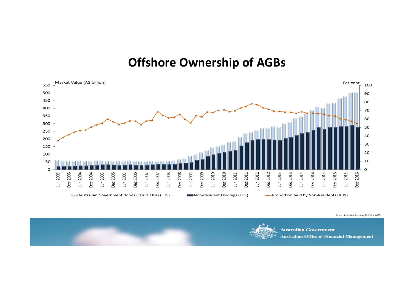#### **Offshore Ownership of AGBs**



*Source: Australian Bureau of Statistics, AOFM*